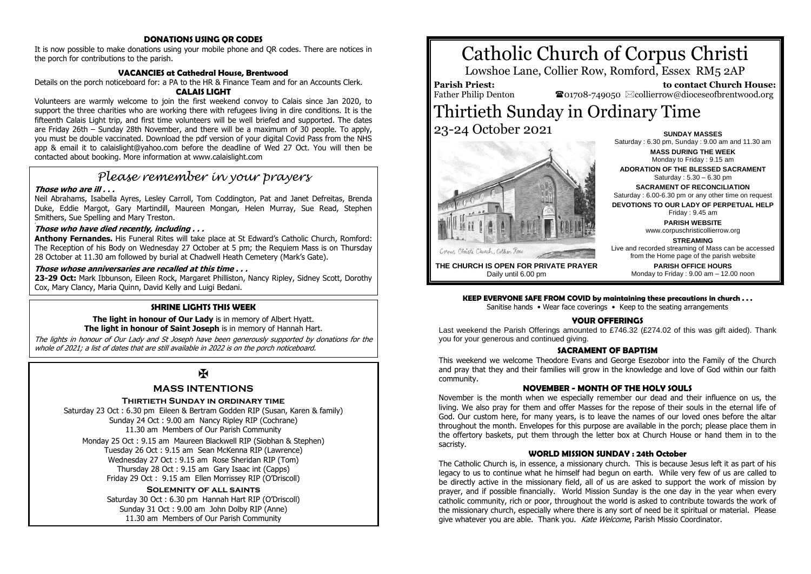# **DONATIONS USING QR CODES**

It is now possible to make donations using your mobile phone and QR codes. There are notices in the porch for contributions to the parish.

# **VACANCIES at Cathedral House, Brentwood**

Details on the porch noticeboard for: a PA to the HR & Finance Team and for an Accounts Clerk.

# **CALAIS LIGHT**

Volunteers are warmly welcome to join the first weekend convoy to Calais since Jan 2020, to support the three charities who are working there with refugees living in dire conditions. It is the fifteenth Calais Light trip, and first time volunteers will be well briefed and supported. The dates are Friday 26th – Sunday 28th November, and there will be a maximum of 30 people. To apply, you must be double vaccinated. Download the pdf version of your digital Covid Pass from the NHS app & email it to calaislight@yahoo.com before the deadline of Wed 27 Oct. You will then be contacted about booking. More information at www.calaislight.com

# *Please remember in your prayers*

## **Those who are ill . . .**

Neil Abrahams, Isabella Ayres, Lesley Carroll, Tom Coddington, Pat and Janet Defreitas, Brenda Duke, Eddie Margot, Gary Martindill, Maureen Mongan, Helen Murray, Sue Read, Stephen Smithers, Sue Spelling and Mary Treston.

#### # **Those who have died recently, including . . .**

**Anthony Fernandes.** His Funeral Rites will take place at St Edward's Catholic Church, Romford: The Reception of his Body on Wednesday 27 October at 5 pm; the Requiem Mass is on Thursday 28 October at 11.30 am followed by burial at Chadwell Heath Cemetery (Mark's Gate).

# **Those whose anniversaries are recalled at this time . . .**

**23-29 Oct:** Mark Ibbunson, Eileen Rock, Margaret Philliston, Nancy Ripley, Sidney Scott, Dorothy Cox, Mary Clancy, Maria Quinn, David Kelly and Luigi Bedani.

# **SHRINE LIGHTS THIS WEEK**

**The light in honour of Our Lady** is in memory of Albert Hyatt. **The light in honour of Saint Joseph** is in memory of Hannah Hart.

The lights in honour of Our Lady and St Joseph have been generously supported by donations for the whole of 2021; a list of dates that are still available in 2022 is on the porch noticeboard.

# $\overline{\mathbf{X}}$

# **MASS INTENTIONS**

## **Thirtieth Sunday in ordinary time**

Saturday 23 Oct : 6.30 pm Eileen & Bertram Godden RIP (Susan, Karen & family) Sunday 24 Oct : 9.00 am Nancy Ripley RIP (Cochrane) 11.30 am Members of Our Parish Community

Monday 25 Oct : 9.15 am Maureen Blackwell RIP (Siobhan & Stephen) Tuesday 26 Oct : 9.15 am Sean McKenna RIP (Lawrence) Wednesday 27 Oct : 9.15 am Rose Sheridan RIP (Tom) Thursday 28 Oct : 9.15 am Gary Isaac int (Capps) Friday 29 Oct : 9.15 am Ellen Morrissey RIP (O'Driscoll)

**Solemnity of all saints** Saturday 30 Oct : 6.30 pm Hannah Hart RIP (O'Driscoll) Sunday 31 Oct : 9.00 am John Dolby RIP (Anne) 11.30 am Members of Our Parish Community

# Catholic Church of Corpus Christi

Lowshoe Lane, Collier Row, Romford, Essex RM5 2AP

**Parish Priest:** Father Philip Denton

 **to contact Church House:**  $\bullet$ 01708-749050  $\boxtimes$ collierrow@dioceseofbrentwood.org

# Thirtieth Sunday in Ordinary Time 23-24 October 2021 **SUNDAY MASSES**



Saturday : 6.30 pm, Sunday : 9.00 am and 11.30 am **MASS DURING THE WEEK** Monday to Friday : 9.15 am **ADORATION OF THE BLESSED SACRAMENT** Saturday : 5.30 – 6.30 pm **SACRAMENT OF RECONCILIATION** Saturday : 6.00-6.30 pm or any other time on request **DEVOTIONS TO OUR LADY OF PERPETUAL HELP** Friday : 9.45 am **PARISH WEBSITE** www.corpuschristicollierrow.org **STREAMING** Live and recorded streaming of Mass can be accessed

**THE CHURCH IS OPEN FOR PRIVATE PRAYER** Daily until 6.00 pm

from the Home page of the parish website **PARISH OFFICE HOURS** Monday to Friday : 9.00 am – 12.00 noon

# **KEEP EVERYONE SAFE FROM COVID by maintaining these precautions in church . . .**

Sanitise hands • Wear face coverings • Keep to the seating arrangements

# **YOUR OFFERINGS**

Last weekend the Parish Offerings amounted to £746.32 (£274.02 of this was gift aided). Thank you for your generous and continued giving.

## **SACRAMENT OF BADTISM**

This weekend we welcome Theodore Evans and George Esezobor into the Family of the Church and pray that they and their families will grow in the knowledge and love of God within our faith community.

# **NOVEMBER - MONTH OF THE HOLY SOULS**

November is the month when we especially remember our dead and their influence on us, the living. We also pray for them and offer Masses for the repose of their souls in the eternal life of God. Our custom here, for many years, is to leave the names of our loved ones before the altar throughout the month. Envelopes for this purpose are available in the porch; please place them in the offertory baskets, put them through the letter box at Church House or hand them in to the sacristy.

# **WORLD MISSION SUNDAY : 24th October**

The Catholic Church is, in essence, a missionary church. This is because Jesus left it as part of his legacy to us to continue what he himself had begun on earth. While very few of us are called to be directly active in the missionary field, all of us are asked to support the work of mission by prayer, and if possible financially. World Mission Sunday is the one day in the year when every catholic community, rich or poor, throughout the world is asked to contribute towards the work of the missionary church, especially where there is any sort of need be it spiritual or material. Please give whatever you are able. Thank you. Kate Welcome, Parish Missio Coordinator.